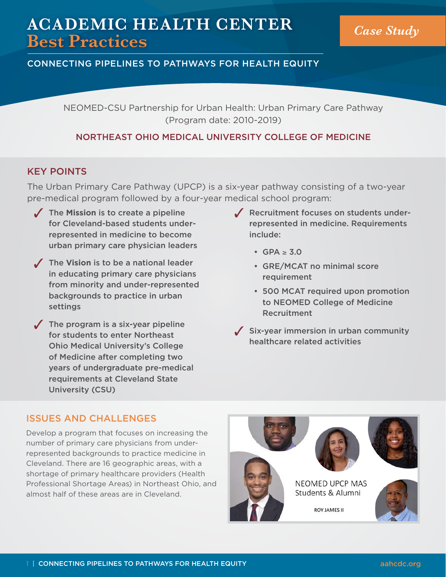# **ACADEMIC HEALTH CENTER Best Practices** *Case Study*

## CONNECTING PIPELINES TO PATHWAYS FOR HEALTH EQUITY

NEOMED-CSU Partnership for Urban Health: Urban Primary Care Pathway (Program date: 2010-2019)

## NORTHEAST OHIO MEDICAL UNIVERSITY COLLEGE OF MEDICINE

## KEY POINTS

The Urban Primary Care Pathway (UPCP) is a six-year pathway consisting of a two-year pre-medical program followed by a four-year medical school program:

- The Mission is to create a pipeline for Cleveland-based students underrepresented in medicine to become urban primary care physician leaders
- 3 The **Vision** is to be a national leader in educating primary care physicians from minority and under-represented backgrounds to practice in urban settings
- $\sqrt{\phantom{a}}$  The program is a six-year pipeline for students to enter Northeast Ohio Medical University's College of Medicine after completing two years of undergraduate pre-medical requirements at Cleveland State University (CSU)
- $\sqrt{\phantom{a}}$  Recruitment focuses on students underrepresented in medicine. Requirements include:
	- $GPA > 3.0$
	- GRE/MCAT no minimal score requirement
	- 500 MCAT required upon promotion to NEOMED College of Medicine Recruitment
- $\angle$  Six-year immersion in urban community healthcare related activities

## ISSUES AND CHALLENGES

Develop a program that focuses on increasing the number of primary care physicians from underrepresented backgrounds to practice medicine in Cleveland. There are 16 geographic areas, with a shortage of primary healthcare providers (Health Professional Shortage Areas) in Northeast Ohio, and almost half of these areas are in Cleveland.

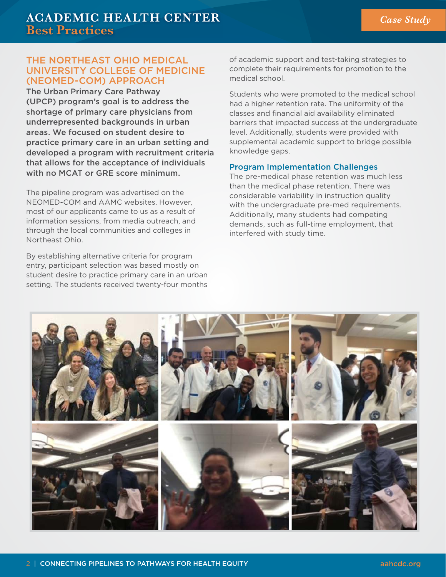## THE NORTHEAST OHIO MEDICAL UNIVERSITY COLLEGE OF MEDICINE (NEOMED-COM) APPROACH

The Urban Primary Care Pathway (UPCP) program's goal is to address the shortage of primary care physicians from underrepresented backgrounds in urban areas. We focused on student desire to practice primary care in an urban setting and developed a program with recruitment criteria that allows for the acceptance of individuals with no MCAT or GRE score minimum.

The pipeline program was advertised on the NEOMED-COM and AAMC websites. However, most of our applicants came to us as a result of information sessions, from media outreach, and through the local communities and colleges in Northeast Ohio.

By establishing alternative criteria for program entry, participant selection was based mostly on student desire to practice primary care in an urban setting. The students received twenty-four months of academic support and test-taking strategies to complete their requirements for promotion to the medical school.

Students who were promoted to the medical school had a higher retention rate. The uniformity of the classes and financial aid availability eliminated barriers that impacted success at the undergraduate level. Additionally, students were provided with supplemental academic support to bridge possible knowledge gaps.

#### Program Implementation Challenges

The pre-medical phase retention was much less than the medical phase retention. There was considerable variability in instruction quality with the undergraduate pre-med requirements. Additionally, many students had competing demands, such as full-time employment, that interfered with study time.

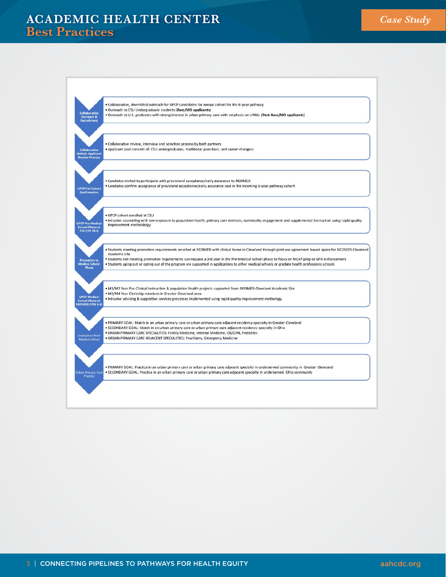## **ACADEMIC HEALTH CENTER Best Practices**